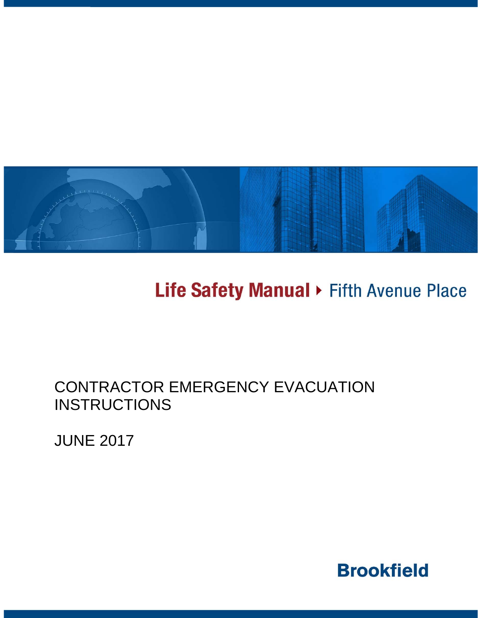

# Life Safety Manual > Fifth Avenue Place

## CONTRACTOR EMERGENCY EVACUATION **INSTRUCTIONS**

JUNE 2017

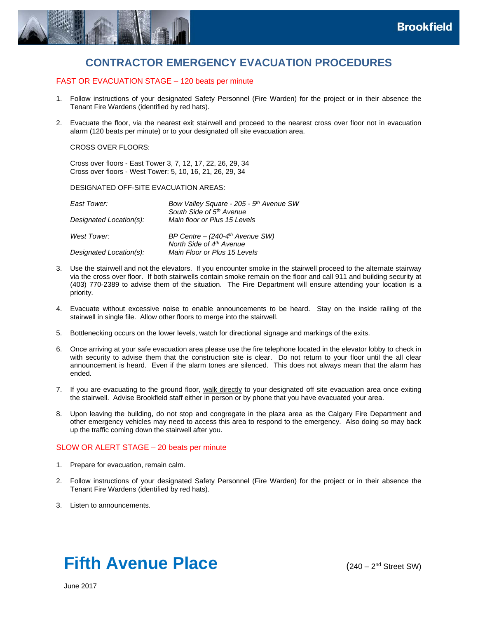

### **CONTRACTOR EMERGENCY EVACUATION PROCEDURES**

#### FAST OR EVACUATION STAGE – 120 beats per minute

- 1. Follow instructions of your designated Safety Personnel (Fire Warden) for the project or in their absence the Tenant Fire Wardens (identified by red hats).
- 2. Evacuate the floor, via the nearest exit stairwell and proceed to the nearest cross over floor not in evacuation alarm (120 beats per minute) or to your designated off site evacuation area.

#### CROSS OVER FLOORS:

Cross over floors - East Tower 3, 7, 12, 17, 22, 26, 29, 34 Cross over floors - West Tower: 5, 10, 16, 21, 26, 29, 34

DESIGNATED OFF-SITE EVACUATION AREAS:

| East Tower:<br>Designated Location(s): | Bow Valley Square - 205 - 5 <sup>th</sup> Avenue SW<br>South Side of 5 <sup>th</sup> Avenue<br>Main floor or Plus 15 Levels |
|----------------------------------------|-----------------------------------------------------------------------------------------------------------------------------|
| West Tower:                            | BP Centre $-$ (240-4 <sup>th</sup> Avenue SW)<br>North Side of 4th Avenue                                                   |
| Designated Location(s):                | Main Floor or Plus 15 Levels                                                                                                |

- 3. Use the stairwell and not the elevators. If you encounter smoke in the stairwell proceed to the alternate stairway via the cross over floor. If both stairwells contain smoke remain on the floor and call 911 and building security at (403) 770-2389 to advise them of the situation. The Fire Department will ensure attending your location is a priority.
- 4. Evacuate without excessive noise to enable announcements to be heard. Stay on the inside railing of the stairwell in single file. Allow other floors to merge into the stairwell.
- 5. Bottlenecking occurs on the lower levels, watch for directional signage and markings of the exits.
- 6. Once arriving at your safe evacuation area please use the fire telephone located in the elevator lobby to check in with security to advise them that the construction site is clear. Do not return to your floor until the all clear announcement is heard. Even if the alarm tones are silenced. This does not always mean that the alarm has ended.
- 7. If you are evacuating to the ground floor, walk directly to your designated off site evacuation area once exiting the stairwell. Advise Brookfield staff either in person or by phone that you have evacuated your area.
- 8. Upon leaving the building, do not stop and congregate in the plaza area as the Calgary Fire Department and other emergency vehicles may need to access this area to respond to the emergency. Also doing so may back up the traffic coming down the stairwell after you.

#### SLOW OR ALERT STAGE – 20 beats per minute

- 1. Prepare for evacuation, remain calm.
- 2. Follow instructions of your designated Safety Personnel (Fire Warden) for the project or in their absence the Tenant Fire Wardens (identified by red hats).
- 3. Listen to announcements.